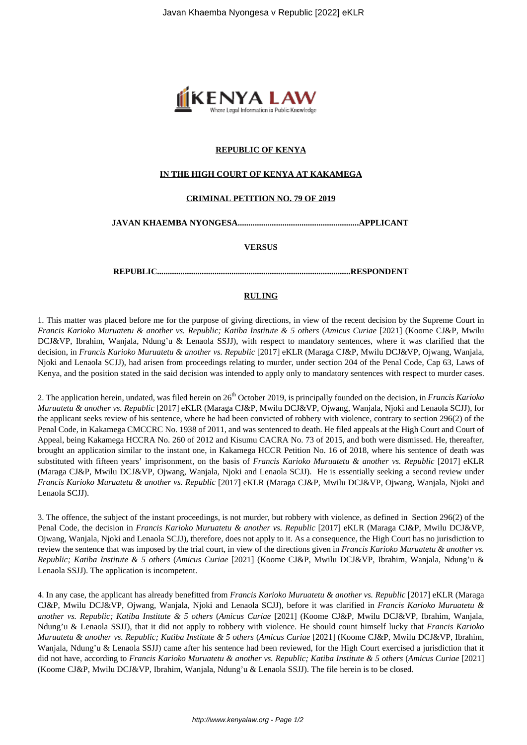

### **REPUBLIC OF KENYA**

#### **IN THE HIGH COURT OF KENYA AT KAKAMEGA**

#### **CRIMINAL PETITION NO. 79 OF 2019**

**JAVAN KHAEMBA NYONGESA.........................................................APPLICANT** 

**VERSUS**

**REPUBLIC...........................................................................................RESPONDENT**

# **RULING**

1. This matter was placed before me for the purpose of giving directions, in view of the recent decision by the Supreme Court in *Francis Karioko Muruatetu & another vs. Republic; Katiba Institute & 5 others* (*Amicus Curiae* [2021] (Koome CJ&P, Mwilu DCJ&VP, Ibrahim, Wanjala, Ndung'u & Lenaola SSJJ), with respect to mandatory sentences, where it was clarified that the decision, in *Francis Karioko Muruatetu & another vs. Republic* [2017] eKLR (Maraga CJ&P, Mwilu DCJ&VP, Ojwang, Wanjala, Njoki and Lenaola SCJJ), had arisen from proceedings relating to murder, under section 204 of the Penal Code, Cap 63, Laws of Kenya, and the position stated in the said decision was intended to apply only to mandatory sentences with respect to murder cases.

2. The application herein, undated, was filed herein on 26<sup>th</sup> October 2019, is principally founded on the decision, in *Francis Karioko Muruatetu & another vs. Republic* [2017] eKLR (Maraga CJ&P, Mwilu DCJ&VP, Ojwang, Wanjala, Njoki and Lenaola SCJJ), for the applicant seeks review of his sentence, where he had been convicted of robbery with violence, contrary to section 296(2) of the Penal Code, in Kakamega CMCCRC No. 1938 of 2011, and was sentenced to death. He filed appeals at the High Court and Court of Appeal, being Kakamega HCCRA No. 260 of 2012 and Kisumu CACRA No. 73 of 2015, and both were dismissed. He, thereafter, brought an application similar to the instant one, in Kakamega HCCR Petition No. 16 of 2018, where his sentence of death was substituted with fifteen years' imprisonment, on the basis of *Francis Karioko Muruatetu & another vs. Republic* [2017] eKLR (Maraga CJ&P, Mwilu DCJ&VP, Ojwang, Wanjala, Njoki and Lenaola SCJJ). He is essentially seeking a second review under *Francis Karioko Muruatetu & another vs. Republic* [2017] eKLR (Maraga CJ&P, Mwilu DCJ&VP, Ojwang, Wanjala, Njoki and Lenaola SCJJ).

3. The offence, the subject of the instant proceedings, is not murder, but robbery with violence, as defined in Section 296(2) of the Penal Code, the decision in *Francis Karioko Muruatetu & another vs. Republic* [2017] eKLR (Maraga CJ&P, Mwilu DCJ&VP, Ojwang, Wanjala, Njoki and Lenaola SCJJ), therefore, does not apply to it. As a consequence, the High Court has no jurisdiction to review the sentence that was imposed by the trial court, in view of the directions given in *Francis Karioko Muruatetu & another vs. Republic; Katiba Institute & 5 others* (*Amicus Curiae* [2021] (Koome CJ&P, Mwilu DCJ&VP, Ibrahim, Wanjala, Ndung'u & Lenaola SSJJ). The application is incompetent.

4. In any case, the applicant has already benefitted from *Francis Karioko Muruatetu & another vs. Republic* [2017] eKLR (Maraga CJ&P, Mwilu DCJ&VP, Ojwang, Wanjala, Njoki and Lenaola SCJJ), before it was clarified in *Francis Karioko Muruatetu & another vs. Republic; Katiba Institute & 5 others* (*Amicus Curiae* [2021] (Koome CJ&P, Mwilu DCJ&VP, Ibrahim, Wanjala, Ndung'u & Lenaola SSJJ), that it did not apply to robbery with violence. He should count himself lucky that *Francis Karioko Muruatetu & another vs. Republic; Katiba Institute & 5 others* (*Amicus Curiae* [2021] (Koome CJ&P, Mwilu DCJ&VP, Ibrahim, Wanjala, Ndung'u & Lenaola SSJJ) came after his sentence had been reviewed, for the High Court exercised a jurisdiction that it did not have, according to *Francis Karioko Muruatetu & another vs. Republic; Katiba Institute & 5 others (Amicus Curiae [2021]* (Koome CJ&P, Mwilu DCJ&VP, Ibrahim, Wanjala, Ndung'u & Lenaola SSJJ). The file herein is to be closed.